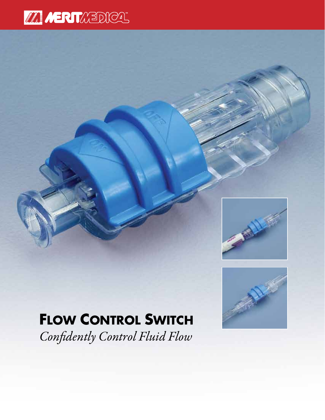# **MANIFERITATION**





### **Flow Control Switch**

*Confidently Control Fluid Flow*